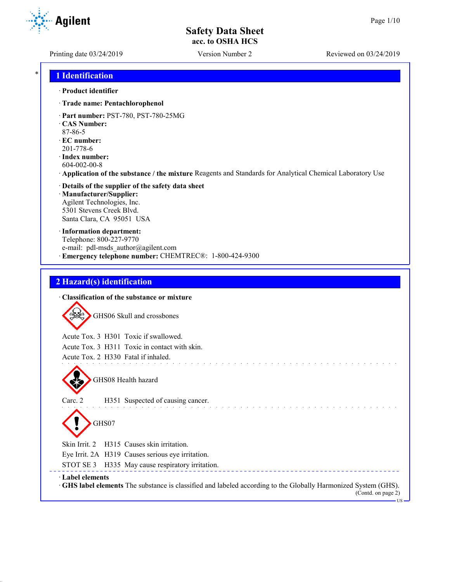Printing date 03/24/2019 Version Number 2 Reviewed on 03/24/2019

\* **1 Identification**

#### · **Product identifier**

- · **Trade name: Pentachlorophenol**
- · **Part number:** PST-780, PST-780-25MG
- · **CAS Number:**
- 87-86-5
- · **EC number:** 201-778-6
- · **Index number:** 604-002-00-8
- · **Application of the substance / the mixture** Reagents and Standards for Analytical Chemical Laboratory Use
- · **Details of the supplier of the safety data sheet** · **Manufacturer/Supplier:** Agilent Technologies, Inc. 5301 Stevens Creek Blvd. Santa Clara, CA 95051 USA
- · **Information department:** Telephone: 800-227-9770 e-mail: pdl-msds author@agilent.com · **Emergency telephone number:** CHEMTREC®: 1-800-424-9300

## **2 Hazard(s) identification**

| • Classification of the substance or mixture                                                                                                                       |
|--------------------------------------------------------------------------------------------------------------------------------------------------------------------|
| GHS06 Skull and crossbones                                                                                                                                         |
| Acute Tox. 3 H301 Toxic if swallowed.                                                                                                                              |
| Acute Tox. 3 H311 Toxic in contact with skin.                                                                                                                      |
| Acute Tox. 2 H330 Fatal if inhaled.                                                                                                                                |
| GHS08 Health hazard                                                                                                                                                |
| Carc. 2<br>H351 Suspected of causing cancer.                                                                                                                       |
| GHS07                                                                                                                                                              |
| Skin Irrit. 2 H315 Causes skin irritation.                                                                                                                         |
| Eye Irrit. 2A H319 Causes serious eye irritation.                                                                                                                  |
| STOT SE 3 H335 May cause respiratory irritation.                                                                                                                   |
| · Label elements<br>GHS label elements The substance is classified and labeled according to the Globally Harmonized System (GHS).<br>(Contd. on page 2)<br>$-Ws -$ |

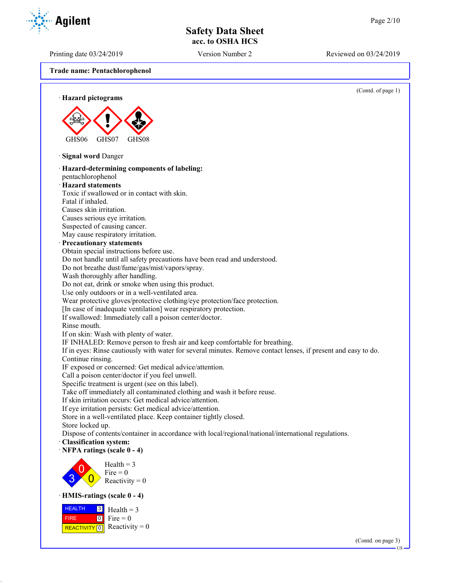Printing date 03/24/2019 Version Number 2 Reviewed on 03/24/2019

**Trade name: Pentachlorophenol**



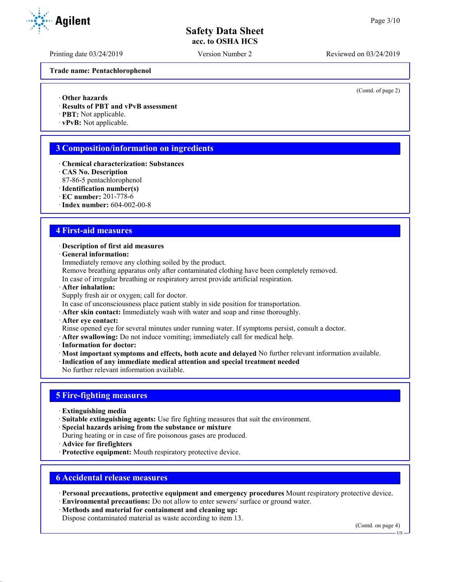Printing date 03/24/2019 Version Number 2 Reviewed on 03/24/2019

**Trade name: Pentachlorophenol**

(Contd. of page 2)

- · **Other hazards**
- · **Results of PBT and vPvB assessment**
- · **PBT:** Not applicable.
- · **vPvB:** Not applicable.

## **3 Composition/information on ingredients**

- · **Chemical characterization: Substances**
- · **CAS No. Description**
- 87-86-5 pentachlorophenol
- · **Identification number(s)**
- · **EC number:** 201-778-6
- · **Index number:** 604-002-00-8

#### **4 First-aid measures**

#### · **Description of first aid measures**

· **General information:**

Immediately remove any clothing soiled by the product.

Remove breathing apparatus only after contaminated clothing have been completely removed.

- In case of irregular breathing or respiratory arrest provide artificial respiration.
- · **After inhalation:**
- Supply fresh air or oxygen; call for doctor.
- In case of unconsciousness place patient stably in side position for transportation.
- · **After skin contact:** Immediately wash with water and soap and rinse thoroughly.
- · **After eye contact:**

Rinse opened eye for several minutes under running water. If symptoms persist, consult a doctor.

- · **After swallowing:** Do not induce vomiting; immediately call for medical help.
- · **Information for doctor:**
- · **Most important symptoms and effects, both acute and delayed** No further relevant information available.
- · **Indication of any immediate medical attention and special treatment needed**

No further relevant information available.

#### **5 Fire-fighting measures**

- · **Extinguishing media**
- · **Suitable extinguishing agents:** Use fire fighting measures that suit the environment.
- · **Special hazards arising from the substance or mixture**
- During heating or in case of fire poisonous gases are produced.
- · **Advice for firefighters**
- · **Protective equipment:** Mouth respiratory protective device.

#### **6 Accidental release measures**

· **Personal precautions, protective equipment and emergency procedures** Mount respiratory protective device.

- · **Environmental precautions:** Do not allow to enter sewers/ surface or ground water.
- · **Methods and material for containment and cleaning up:**
- Dispose contaminated material as waste according to item 13.

(Contd. on page 4)



US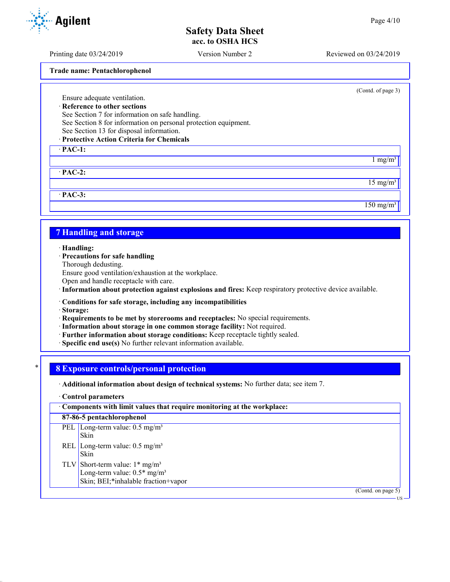Printing date 03/24/2019 Version Number 2 Reviewed on 03/24/2019

**Trade name: Pentachlorophenol**

Ensure adequate ventilation. · **Reference to other sections**

See Section 7 for information on safe handling.

See Section 8 for information on personal protection equipment.

See Section 13 for disposal information.

### · **Protective Action Criteria for Chemicals**

· **PAC-1:**

· **PAC-2:**

· **PAC-3:**

## **7 Handling and storage**

· **Handling:**

- · **Precautions for safe handling**
- Thorough dedusting.

Ensure good ventilation/exhaustion at the workplace.

Open and handle receptacle with care.

· **Information about protection against explosions and fires:** Keep respiratory protective device available.

· **Conditions for safe storage, including any incompatibilities**

· **Storage:**

- · **Requirements to be met by storerooms and receptacles:** No special requirements.
- · **Information about storage in one common storage facility:** Not required.
- · **Further information about storage conditions:** Keep receptacle tightly sealed.
- · **Specific end use(s)** No further relevant information available.

#### \* **8 Exposure controls/personal protection**

· **Additional information about design of technical systems:** No further data; see item 7.

#### · **Control parameters**

| Components with limit values that require monitoring at the workplace: |                                                                                                                                  |  |
|------------------------------------------------------------------------|----------------------------------------------------------------------------------------------------------------------------------|--|
|                                                                        | 87-86-5 pentachlorophenol                                                                                                        |  |
|                                                                        | PEL Long-term value: $0.5 \text{ mg/m}^3$<br>Skin                                                                                |  |
|                                                                        | REL   Long-term value: $0.5 \text{ mg/m}^3$<br>Skin                                                                              |  |
|                                                                        | TLV Short-term value: $1*$ mg/m <sup>3</sup><br>Long-term value: $0.5*$ mg/m <sup>3</sup><br>Skin; BEI;*inhalable fraction+vapor |  |
|                                                                        | (Contd. on page 5)                                                                                                               |  |



(Contd. of page 3)

 $1 \text{ mg/m}^3$ 

 $15$  mg/m<sup>3</sup>

 $150$  mg/m<sup>3</sup>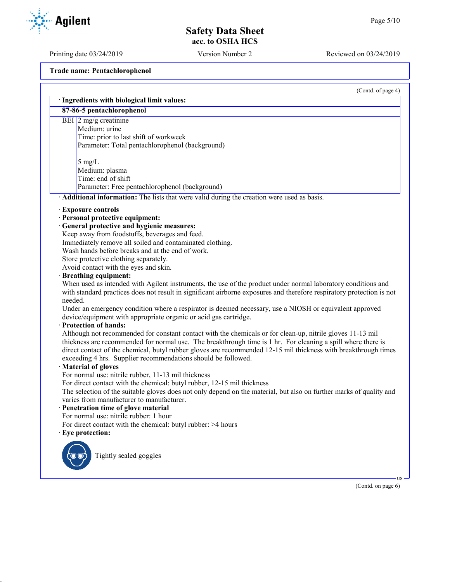Printing date 03/24/2019 Version Number 2 Reviewed on 03/24/2019

**Trade name: Pentachlorophenol**

|         | · Ingredients with biological limit values:<br>87-86-5 pentachlorophenol                                                                                                                                                                                                                                                                                                                                       |
|---------|----------------------------------------------------------------------------------------------------------------------------------------------------------------------------------------------------------------------------------------------------------------------------------------------------------------------------------------------------------------------------------------------------------------|
|         |                                                                                                                                                                                                                                                                                                                                                                                                                |
|         | BEI $\sqrt{2}$ mg/g creatinine                                                                                                                                                                                                                                                                                                                                                                                 |
|         | Medium: urine                                                                                                                                                                                                                                                                                                                                                                                                  |
|         | Time: prior to last shift of workweek                                                                                                                                                                                                                                                                                                                                                                          |
|         | Parameter: Total pentachlorophenol (background)                                                                                                                                                                                                                                                                                                                                                                |
|         | $5$ mg/L                                                                                                                                                                                                                                                                                                                                                                                                       |
|         | Medium: plasma                                                                                                                                                                                                                                                                                                                                                                                                 |
|         | Time: end of shift                                                                                                                                                                                                                                                                                                                                                                                             |
|         | Parameter: Free pentachlorophenol (background)                                                                                                                                                                                                                                                                                                                                                                 |
|         | Additional information: The lists that were valid during the creation were used as basis.                                                                                                                                                                                                                                                                                                                      |
|         | <b>Exposure controls</b>                                                                                                                                                                                                                                                                                                                                                                                       |
|         | · Personal protective equipment:                                                                                                                                                                                                                                                                                                                                                                               |
|         | · General protective and hygienic measures:                                                                                                                                                                                                                                                                                                                                                                    |
|         | Keep away from foodstuffs, beverages and feed.                                                                                                                                                                                                                                                                                                                                                                 |
|         | Immediately remove all soiled and contaminated clothing.                                                                                                                                                                                                                                                                                                                                                       |
|         | Wash hands before breaks and at the end of work.                                                                                                                                                                                                                                                                                                                                                               |
|         | Store protective clothing separately.                                                                                                                                                                                                                                                                                                                                                                          |
|         | Avoid contact with the eyes and skin.                                                                                                                                                                                                                                                                                                                                                                          |
|         | · Breathing equipment:                                                                                                                                                                                                                                                                                                                                                                                         |
|         | When used as intended with Agilent instruments, the use of the product under normal laboratory conditions and                                                                                                                                                                                                                                                                                                  |
|         | with standard practices does not result in significant airborne exposures and therefore respiratory protection is not                                                                                                                                                                                                                                                                                          |
| needed. |                                                                                                                                                                                                                                                                                                                                                                                                                |
|         | Under an emergency condition where a respirator is deemed necessary, use a NIOSH or equivalent approved                                                                                                                                                                                                                                                                                                        |
|         | device/equipment with appropriate organic or acid gas cartridge.                                                                                                                                                                                                                                                                                                                                               |
|         | · Protection of hands:                                                                                                                                                                                                                                                                                                                                                                                         |
|         | Although not recommended for constant contact with the chemicals or for clean-up, nitrile gloves 11-13 mil<br>thickness are recommended for normal use. The breakthrough time is 1 hr. For cleaning a spill where there is<br>direct contact of the chemical, butyl rubber gloves are recommended 12-15 mil thickness with breakthrough times<br>exceeding 4 hrs. Supplier recommendations should be followed. |
|         | Material of gloves                                                                                                                                                                                                                                                                                                                                                                                             |
|         | For normal use: nitrile rubber, 11-13 mil thickness                                                                                                                                                                                                                                                                                                                                                            |
|         | For direct contact with the chemical: butyl rubber, 12-15 mil thickness                                                                                                                                                                                                                                                                                                                                        |
|         | The selection of the suitable gloves does not only depend on the material, but also on further marks of quality and                                                                                                                                                                                                                                                                                            |
|         | varies from manufacturer to manufacturer.                                                                                                                                                                                                                                                                                                                                                                      |
|         | · Penetration time of glove material                                                                                                                                                                                                                                                                                                                                                                           |
|         | For normal use: nitrile rubber: 1 hour                                                                                                                                                                                                                                                                                                                                                                         |
|         | For direct contact with the chemical: butyl rubber: >4 hours                                                                                                                                                                                                                                                                                                                                                   |
|         | · Eye protection:                                                                                                                                                                                                                                                                                                                                                                                              |
|         | Tightly sealed goggles                                                                                                                                                                                                                                                                                                                                                                                         |
|         |                                                                                                                                                                                                                                                                                                                                                                                                                |
|         |                                                                                                                                                                                                                                                                                                                                                                                                                |

(Contd. on page 6)

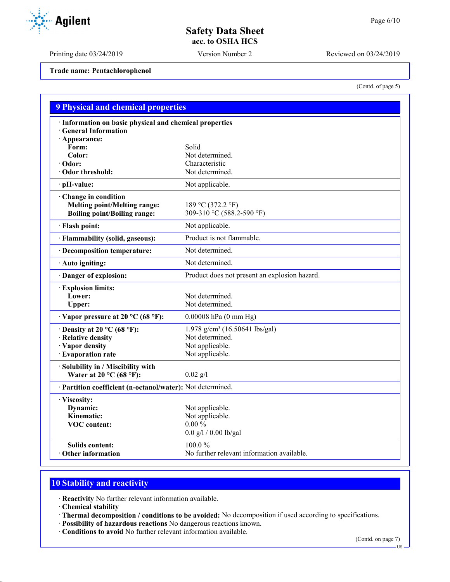Printing date 03/24/2019 Version Number 2 Reviewed on 03/24/2019

**Trade name: Pentachlorophenol**

(Contd. of page 5)

| <b>9 Physical and chemical properties</b>                                                         |                                                                            |  |  |
|---------------------------------------------------------------------------------------------------|----------------------------------------------------------------------------|--|--|
| · Information on basic physical and chemical properties<br><b>General Information</b>             |                                                                            |  |  |
| · Appearance:<br>Form:                                                                            | Solid                                                                      |  |  |
| Color:                                                                                            | Not determined.                                                            |  |  |
| $\cdot$ Odor:                                                                                     | Characteristic                                                             |  |  |
| Odor threshold:                                                                                   | Not determined.                                                            |  |  |
| · pH-value:                                                                                       | Not applicable.                                                            |  |  |
| Change in condition<br><b>Melting point/Melting range:</b><br><b>Boiling point/Boiling range:</b> | 189 °C (372.2 °F)<br>309-310 °C (588.2-590 °F)                             |  |  |
| · Flash point:                                                                                    | Not applicable.                                                            |  |  |
| · Flammability (solid, gaseous):                                                                  | Product is not flammable.                                                  |  |  |
| · Decomposition temperature:                                                                      | Not determined.                                                            |  |  |
| · Auto igniting:                                                                                  | Not determined.                                                            |  |  |
| Danger of explosion:                                                                              | Product does not present an explosion hazard.                              |  |  |
| <b>Explosion limits:</b><br>Lower:<br>Upper:                                                      | Not determined.<br>Not determined.                                         |  |  |
| $\cdot$ Vapor pressure at 20 °C (68 °F):                                                          | $0.00008$ hPa $(0 \text{ mm Hg})$                                          |  |  |
| $\cdot$ Density at 20 °C (68 °F):                                                                 | 1.978 g/cm <sup>3</sup> (16.50641 lbs/gal)                                 |  |  |
| · Relative density                                                                                | Not determined.                                                            |  |  |
| · Vapor density                                                                                   | Not applicable.                                                            |  |  |
| · Evaporation rate                                                                                | Not applicable.                                                            |  |  |
| · Solubility in / Miscibility with<br>Water at 20 $^{\circ}$ C (68 $^{\circ}$ F):                 | $0.02$ g/l                                                                 |  |  |
| · Partition coefficient (n-octanol/water): Not determined.                                        |                                                                            |  |  |
| · Viscosity:<br>Dynamic:<br>Kinematic:<br><b>VOC</b> content:                                     | Not applicable.<br>Not applicable.<br>$0.00 \%$<br>$0.0$ g/l / 0.00 lb/gal |  |  |
| <b>Solids content:</b><br>Other information                                                       | 100.0%<br>No further relevant information available.                       |  |  |

## **10 Stability and reactivity**

· **Reactivity** No further relevant information available.

· **Chemical stability**

· **Thermal decomposition / conditions to be avoided:** No decomposition if used according to specifications.

- · **Possibility of hazardous reactions** No dangerous reactions known.
- · **Conditions to avoid** No further relevant information available.

(Contd. on page 7)

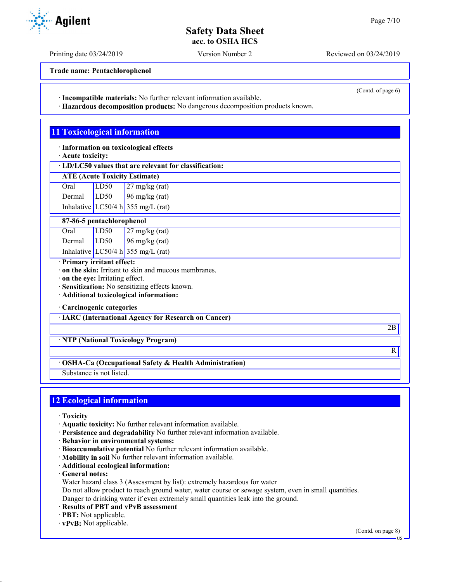Printing date 03/24/2019 Version Number 2 Reviewed on 03/24/2019

**Trade name: Pentachlorophenol**

· **Incompatible materials:** No further relevant information available.

· **Hazardous decomposition products:** No dangerous decomposition products known.

## **11 Toxicological information**

· **Information on toxicological effects**

· **Acute toxicity:**

· **LD/LC50 values that are relevant for classification:**

| <b>ATE (Acute Toxicity Estimate)</b> |      |                          |  |  |
|--------------------------------------|------|--------------------------|--|--|
| Oral                                 | LD50 | $27 \text{ mg/kg}$ (rat) |  |  |
| Dermal                               | LD50 | $96 \text{ mg/kg}$ (rat) |  |  |

Inhalative  $LC50/4$  h 355 mg/L (rat)

**87-86-5 pentachlorophenol**

| Oral   | LD50 | $\sqrt{27}$ mg/kg (rat)            |
|--------|------|------------------------------------|
| Dermal | LD50 | $96$ mg/kg (rat)                   |
|        |      | Inhalative LC50/4 h 355 mg/L (rat) |

#### · **Primary irritant effect:**

· **on the skin:** Irritant to skin and mucous membranes.

· **on the eye:** Irritating effect.

· **Sensitization:** No sensitizing effects known.

· **Additional toxicological information:**

· **Carcinogenic categories**

· **IARC (International Agency for Research on Cancer)**

· **NTP (National Toxicology Program)**

· **OSHA-Ca (Occupational Safety & Health Administration)**

Substance is not listed.

## **12 Ecological information**

- · **Toxicity**
- · **Aquatic toxicity:** No further relevant information available.
- · **Persistence and degradability** No further relevant information available.
- · **Behavior in environmental systems:**
- · **Bioaccumulative potential** No further relevant information available.
- · **Mobility in soil** No further relevant information available.
- · **Additional ecological information:**
- · **General notes:**
- Water hazard class 3 (Assessment by list): extremely hazardous for water

Do not allow product to reach ground water, water course or sewage system, even in small quantities.

Danger to drinking water if even extremely small quantities leak into the ground.

- · **Results of PBT and vPvB assessment**
- · **PBT:** Not applicable.
- · **vPvB:** Not applicable.

(Contd. on page 8)



(Contd. of page 6)

2B

R

US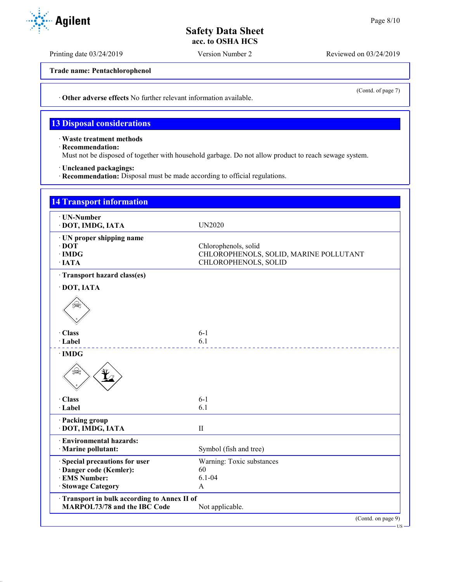Printing date 03/24/2019 Version Number 2 Reviewed on 03/24/2019

**Trade name: Pentachlorophenol**

· **Other adverse effects** No further relevant information available.

#### **13 Disposal considerations**

· **Waste treatment methods**

· **Recommendation:**

Must not be disposed of together with household garbage. Do not allow product to reach sewage system.

- · **Uncleaned packagings:**
- · **Recommendation:** Disposal must be made according to official regulations.

| <b>UN2020</b><br>Chlorophenols, solid<br>CHLOROPHENOLS, SOLID, MARINE POLLUTANT<br>CHLOROPHENOLS, SOLID |
|---------------------------------------------------------------------------------------------------------|
|                                                                                                         |
|                                                                                                         |
|                                                                                                         |
|                                                                                                         |
|                                                                                                         |
|                                                                                                         |
|                                                                                                         |
|                                                                                                         |
| $6 - 1$                                                                                                 |
| 6.1                                                                                                     |
|                                                                                                         |
| $6 - 1$                                                                                                 |
| 6.1                                                                                                     |
|                                                                                                         |
| $\mathbf{I}$                                                                                            |
|                                                                                                         |
| Symbol (fish and tree)                                                                                  |
| Warning: Toxic substances                                                                               |
| 60                                                                                                      |
| $6.1 - 04$                                                                                              |
| A                                                                                                       |
| Transport in bulk according to Annex II of<br>Not applicable.                                           |
|                                                                                                         |



(Contd. of page 7)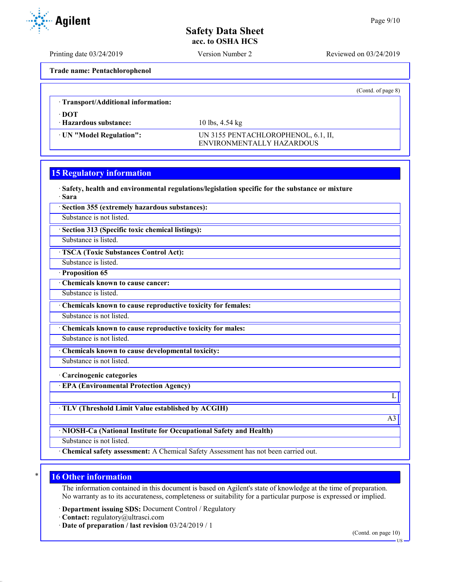Printing date 03/24/2019 Version Number 2 Reviewed on 03/24/2019

**Trade name: Pentachlorophenol**

|                                     |                                                                  | (Cond. of page 8) |
|-------------------------------------|------------------------------------------------------------------|-------------------|
| : Transport/Additional information: |                                                                  |                   |
| · DOT<br>· Hazardous substance:     | 10 lbs, $4.54 \text{ kg}$                                        |                   |
| · UN "Model Regulation":            | UN 3155 PENTACHLOROPHENOL, 6.1, II,<br>ENVIRONMENTALLY HAZARDOUS |                   |

#### **15 Regulatory information**

· **Safety, health and environmental regulations/legislation specific for the substance or mixture**

· **Sara**

· **Section 355 (extremely hazardous substances):**

Substance is not listed.

· **Section 313 (Specific toxic chemical listings):**

Substance is listed.

· **TSCA (Toxic Substances Control Act):**

Substance is listed.

· **Proposition 65**

· **Chemicals known to cause cancer:**

Substance is listed.

· **Chemicals known to cause reproductive toxicity for females:**

Substance is not listed.

· **Chemicals known to cause reproductive toxicity for males:**

Substance is not listed.

Substance is not listed.

· **Chemicals known to cause developmental toxicity:**

· **Carcinogenic categories**

· **EPA (Environmental Protection Agency)**

· **TLV (Threshold Limit Value established by ACGIH)**

· **NIOSH-Ca (National Institute for Occupational Safety and Health)**

Substance is not listed.

· **Chemical safety assessment:** A Chemical Safety Assessment has not been carried out.

#### **16 Other information**

The information contained in this document is based on Agilent's state of knowledge at the time of preparation. No warranty as to its accurateness, completeness or suitability for a particular purpose is expressed or implied.

· **Department issuing SDS:** Document Control / Regulatory

· **Contact:** regulatory@ultrasci.com

· **Date of preparation / last revision** 03/24/2019 / 1

(Contd. on page 10) US

L

A3

**Agilent**